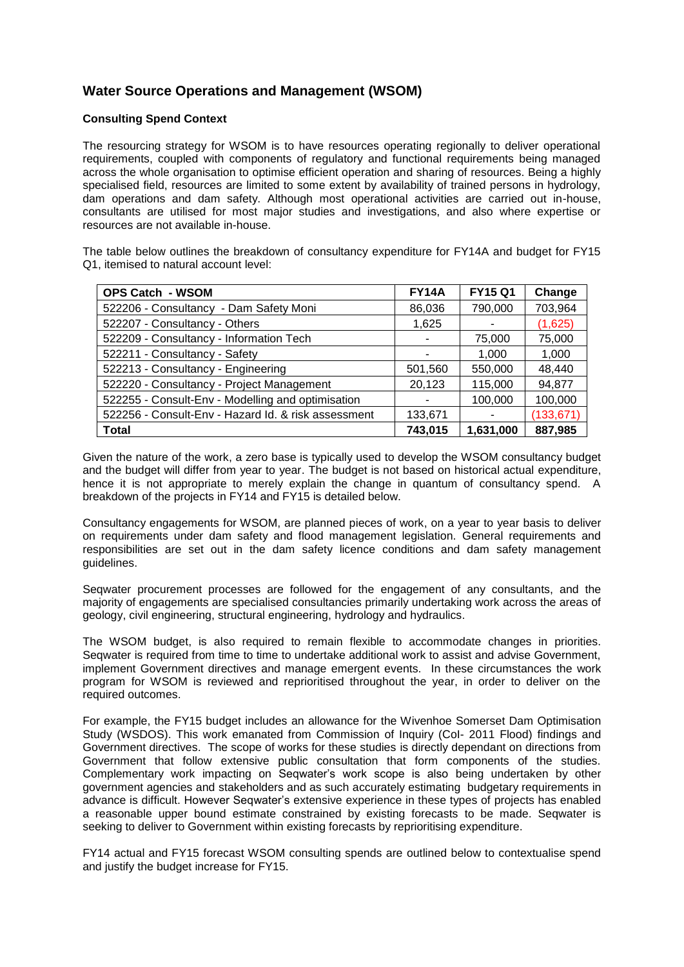# **Water Source Operations and Management (WSOM)**

#### **Consulting Spend Context**

The resourcing strategy for WSOM is to have resources operating regionally to deliver operational requirements, coupled with components of regulatory and functional requirements being managed across the whole organisation to optimise efficient operation and sharing of resources. Being a highly specialised field, resources are limited to some extent by availability of trained persons in hydrology, dam operations and dam safety. Although most operational activities are carried out in-house, consultants are utilised for most major studies and investigations, and also where expertise or resources are not available in-house.

The table below outlines the breakdown of consultancy expenditure for FY14A and budget for FY15 Q1, itemised to natural account level:

| <b>OPS Catch - WSOM</b>                             | <b>FY14A</b> | <b>FY15 Q1</b> | Change     |
|-----------------------------------------------------|--------------|----------------|------------|
| 522206 - Consultancy - Dam Safety Moni              | 86,036       | 790,000        | 703,964    |
| 522207 - Consultancy - Others                       | 1,625        |                | (1,625)    |
| 522209 - Consultancy - Information Tech             | ۰            | 75,000         | 75,000     |
| 522211 - Consultancy - Safety                       | ۰            | 1,000          | 1,000      |
| 522213 - Consultancy - Engineering                  | 501,560      | 550,000        | 48,440     |
| 522220 - Consultancy - Project Management           | 20,123       | 115,000        | 94,877     |
| 522255 - Consult-Env - Modelling and optimisation   |              | 100,000        | 100,000    |
| 522256 - Consult-Env - Hazard Id. & risk assessment | 133,671      | ۰              | (133, 671) |
| <b>Total</b>                                        | 743,015      | 1,631,000      | 887,985    |

Given the nature of the work, a zero base is typically used to develop the WSOM consultancy budget and the budget will differ from year to year. The budget is not based on historical actual expenditure, hence it is not appropriate to merely explain the change in quantum of consultancy spend. A breakdown of the projects in FY14 and FY15 is detailed below.

Consultancy engagements for WSOM, are planned pieces of work, on a year to year basis to deliver on requirements under dam safety and flood management legislation. General requirements and responsibilities are set out in the dam safety licence conditions and dam safety management guidelines.

Seqwater procurement processes are followed for the engagement of any consultants, and the majority of engagements are specialised consultancies primarily undertaking work across the areas of geology, civil engineering, structural engineering, hydrology and hydraulics.

The WSOM budget, is also required to remain flexible to accommodate changes in priorities. Seqwater is required from time to time to undertake additional work to assist and advise Government, implement Government directives and manage emergent events. In these circumstances the work program for WSOM is reviewed and reprioritised throughout the year, in order to deliver on the required outcomes.

For example, the FY15 budget includes an allowance for the Wivenhoe Somerset Dam Optimisation Study (WSDOS). This work emanated from Commission of Inquiry (CoI- 2011 Flood) findings and Government directives. The scope of works for these studies is directly dependant on directions from Government that follow extensive public consultation that form components of the studies. Complementary work impacting on Seqwater's work scope is also being undertaken by other government agencies and stakeholders and as such accurately estimating budgetary requirements in advance is difficult. However Seqwater's extensive experience in these types of projects has enabled a reasonable upper bound estimate constrained by existing forecasts to be made. Seqwater is seeking to deliver to Government within existing forecasts by reprioritising expenditure.

FY14 actual and FY15 forecast WSOM consulting spends are outlined below to contextualise spend and justify the budget increase for FY15.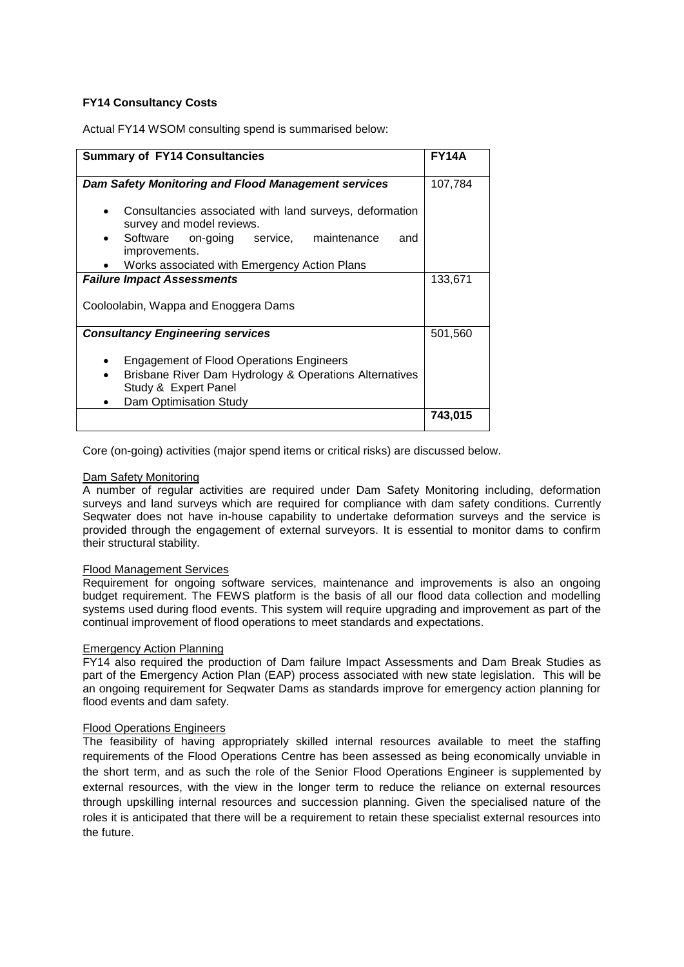# **FY14 Consultancy Costs**

Actual FY14 WSOM consulting spend is summarised below:

| <b>Summary of FY14 Consultancies</b>                                                                                                                        | <b>FY14A</b> |
|-------------------------------------------------------------------------------------------------------------------------------------------------------------|--------------|
| <b>Dam Safety Monitoring and Flood Management services</b>                                                                                                  | 107,784      |
| Consultancies associated with land surveys, deformation<br>survey and model reviews.                                                                        |              |
| Software on-going service, maintenance<br>and<br>$\bullet$<br>improvements.                                                                                 |              |
| Works associated with Emergency Action Plans                                                                                                                |              |
| <b>Failure Impact Assessments</b>                                                                                                                           | 133,671      |
| Cooloolabin, Wappa and Enoggera Dams                                                                                                                        |              |
| <b>Consultancy Engineering services</b>                                                                                                                     | 501,560      |
| <b>Engagement of Flood Operations Engineers</b><br>Brisbane River Dam Hydrology & Operations Alternatives<br>Study & Expert Panel<br>Dam Optimisation Study |              |
|                                                                                                                                                             | 743.015      |

Core (on-going) activities (major spend items or critical risks) are discussed below.

#### Dam Safety Monitoring

A number of regular activities are required under Dam Safety Monitoring including, deformation surveys and land surveys which are required for compliance with dam safety conditions. Currently Seqwater does not have in-house capability to undertake deformation surveys and the service is provided through the engagement of external surveyors. It is essential to monitor dams to confirm their structural stability.

#### Flood Management Services

Requirement for ongoing software services, maintenance and improvements is also an ongoing budget requirement. The FEWS platform is the basis of all our flood data collection and modelling systems used during flood events. This system will require upgrading and improvement as part of the continual improvement of flood operations to meet standards and expectations.

#### Emergency Action Planning

FY14 also required the production of Dam failure Impact Assessments and Dam Break Studies as part of the Emergency Action Plan (EAP) process associated with new state legislation. This will be an ongoing requirement for Seqwater Dams as standards improve for emergency action planning for flood events and dam safety.

#### Flood Operations Engineers

The feasibility of having appropriately skilled internal resources available to meet the staffing requirements of the Flood Operations Centre has been assessed as being economically unviable in the short term, and as such the role of the Senior Flood Operations Engineer is supplemented by external resources, with the view in the longer term to reduce the reliance on external resources through upskilling internal resources and succession planning. Given the specialised nature of the roles it is anticipated that there will be a requirement to retain these specialist external resources into the future.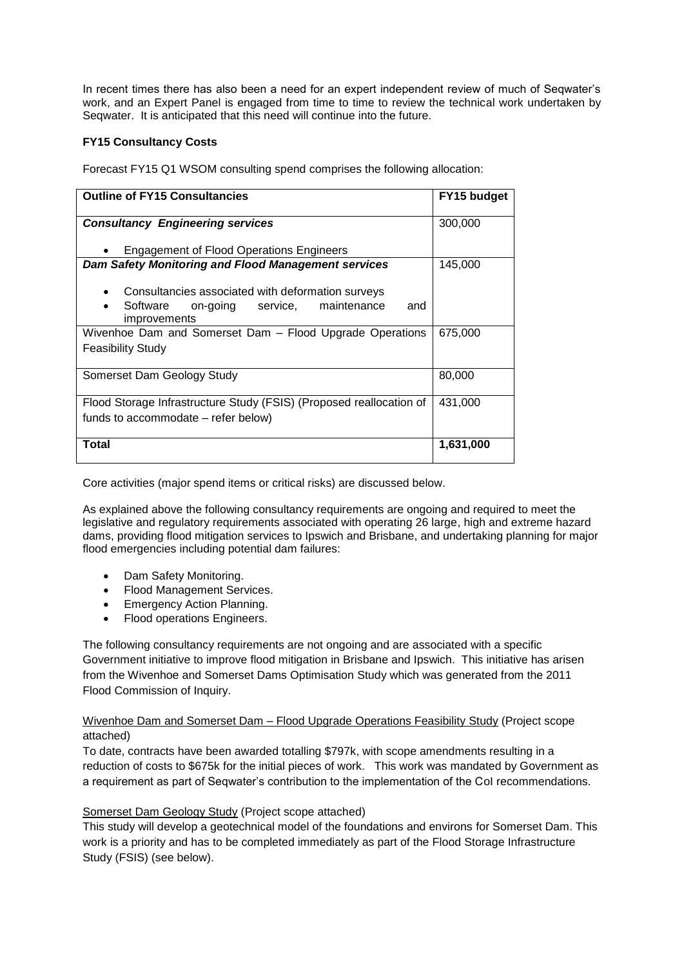In recent times there has also been a need for an expert independent review of much of Seqwater's work, and an Expert Panel is engaged from time to time to review the technical work undertaken by Seqwater. It is anticipated that this need will continue into the future.

### **FY15 Consultancy Costs**

Forecast FY15 Q1 WSOM consulting spend comprises the following allocation:

| <b>Outline of FY15 Consultancies</b>                                                                                                  | FY15 budget |
|---------------------------------------------------------------------------------------------------------------------------------------|-------------|
| <b>Consultancy Engineering services</b>                                                                                               | 300,000     |
| <b>Engagement of Flood Operations Engineers</b>                                                                                       |             |
| <b>Dam Safety Monitoring and Flood Management services</b>                                                                            | 145,000     |
| Consultancies associated with deformation surveys<br>Software on-going<br>maintenance<br>service,<br>and<br>$\bullet$<br>improvements |             |
| Wivenhoe Dam and Somerset Dam - Flood Upgrade Operations                                                                              | 675,000     |
| Feasibility Study                                                                                                                     |             |
| Somerset Dam Geology Study                                                                                                            | 80,000      |
| Flood Storage Infrastructure Study (FSIS) (Proposed reallocation of                                                                   | 431,000     |
| funds to accommodate – refer below)                                                                                                   |             |
| Total                                                                                                                                 | 1,631,000   |

Core activities (major spend items or critical risks) are discussed below.

As explained above the following consultancy requirements are ongoing and required to meet the legislative and regulatory requirements associated with operating 26 large, high and extreme hazard dams, providing flood mitigation services to Ipswich and Brisbane, and undertaking planning for major flood emergencies including potential dam failures:

- Dam Safety Monitoring.
- Flood Management Services.
- Emergency Action Planning.
- Flood operations Engineers.

The following consultancy requirements are not ongoing and are associated with a specific Government initiative to improve flood mitigation in Brisbane and Ipswich. This initiative has arisen from the Wivenhoe and Somerset Dams Optimisation Study which was generated from the 2011 Flood Commission of Inquiry.

Wivenhoe Dam and Somerset Dam – Flood Upgrade Operations Feasibility Study (Project scope attached)

To date, contracts have been awarded totalling \$797k, with scope amendments resulting in a reduction of costs to \$675k for the initial pieces of work. This work was mandated by Government as a requirement as part of Seqwater's contribution to the implementation of the CoI recommendations.

# Somerset Dam Geology Study (Project scope attached)

This study will develop a geotechnical model of the foundations and environs for Somerset Dam. This work is a priority and has to be completed immediately as part of the Flood Storage Infrastructure Study (FSIS) (see below).